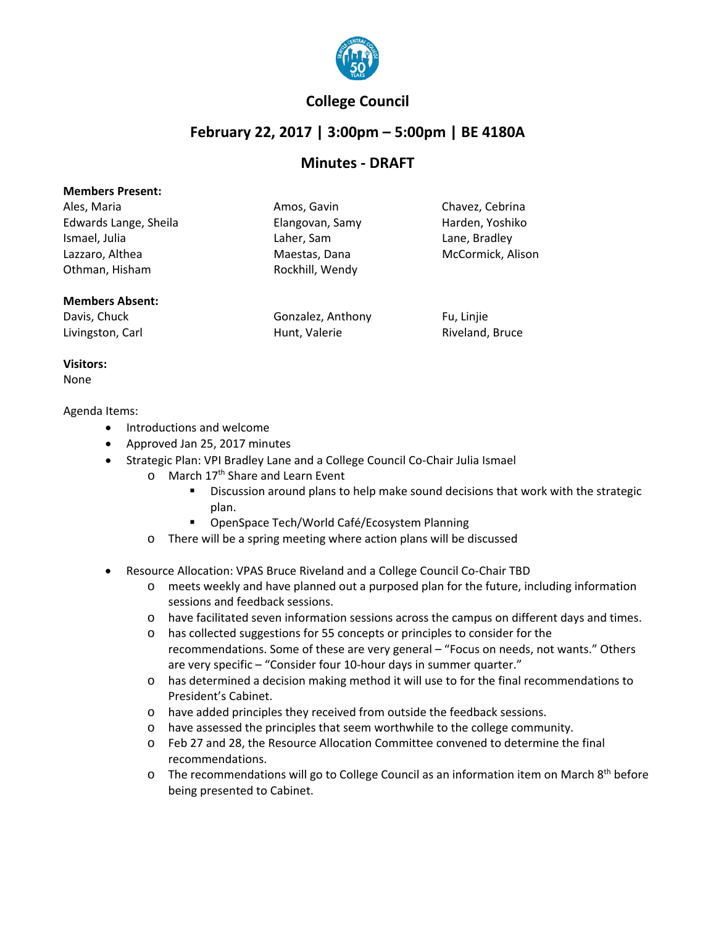

## **College Council**

# **February 22, 2017 | 3:00pm – 5:00pm | BE 4180A**

### **Minutes - DRAFT**

| Ales, Maria           | Amos, Gavin     | Chavez, Cebrina   |
|-----------------------|-----------------|-------------------|
| Edwards Lange, Sheila | Elangovan, Samy | Harden, Yoshiko   |
| Ismael, Julia         | Laher, Sam      | Lane, Bradley     |
| Lazzaro, Althea       | Maestas, Dana   | McCormick, Alison |
| Othman, Hisham        | Rockhill, Wendy |                   |
|                       |                 |                   |

#### **Members Absent:**

Davis, Chuck **Gonzalez, Anthony** Fu, Linjie Livingston, Carl **Exercise Exercise Contract Contract Hunt**, Valerie **Riveland, Bruce** Riveland, Bruce

**Visitors:** None

#### Agenda Items:

- Introductions and welcome
- Approved Jan 25, 2017 minutes
	- Strategic Plan: VPI Bradley Lane and a College Council Co-Chair Julia Ismael
		- o March 17<sup>th</sup> Share and Learn Event
			- **Discussion around plans to help make sound decisions that work with the strategic** plan.
			- **OpenSpace Tech/World Café/Ecosystem Planning**
			- o There will be a spring meeting where action plans will be discussed
- Resource Allocation: VPAS Bruce Riveland and a College Council Co-Chair TBD
	- o meets weekly and have planned out a purposed plan for the future, including information sessions and feedback sessions.
	- o have facilitated seven information sessions across the campus on different days and times.
	- o has collected suggestions for 55 concepts or principles to consider for the recommendations. Some of these are very general – "Focus on needs, not wants." Others are very specific – "Consider four 10-hour days in summer quarter."
	- o has determined a decision making method it will use to for the final recommendations to President's Cabinet.
	- o have added principles they received from outside the feedback sessions.
	- o have assessed the principles that seem worthwhile to the college community.
	- o Feb 27 and 28, the Resource Allocation Committee convened to determine the final recommendations.
	- o The recommendations will go to College Council as an information item on March 8th before being presented to Cabinet.